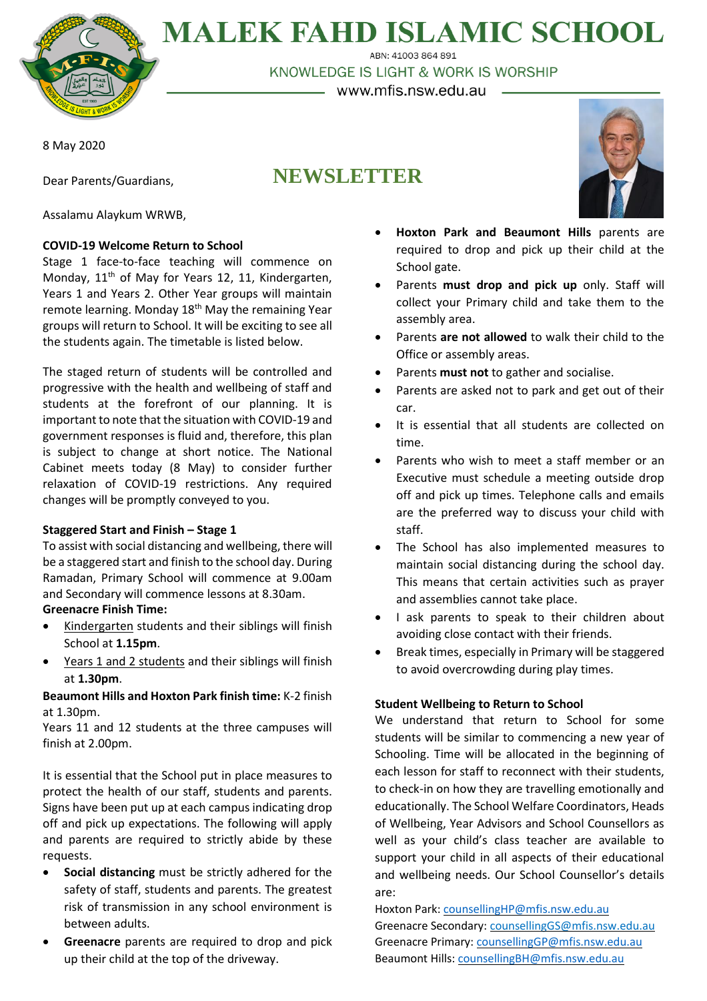

# **MALEK FAHD ISLAMIC SCHOOL**

ABN: 41003 864 891 KNOWLEDGE IS LIGHT & WORK IS WORSHIP

– www.mfis.nsw.edu.au -

**NEWSLETTER**

8 May 2020

Dear Parents/Guardians,

Assalamu Alaykum WRWB,

# **COVID-19 Welcome Return to School**

Stage 1 face-to-face teaching will commence on Monday, 11<sup>th</sup> of May for Years 12, 11, Kindergarten, Years 1 and Years 2. Other Year groups will maintain remote learning. Monday  $18<sup>th</sup>$  May the remaining Year groups will return to School. It will be exciting to see all the students again. The timetable is listed below.

The staged return of students will be controlled and progressive with the health and wellbeing of staff and students at the forefront of our planning. It is important to note that the situation with COVID-19 and government responses is fluid and, therefore, this plan is subject to change at short notice. The National Cabinet meets today (8 May) to consider further relaxation of COVID-19 restrictions. Any required changes will be promptly conveyed to you.

## **Staggered Start and Finish – Stage 1**

To assist with social distancing and wellbeing, there will be a staggered start and finish to the school day. During Ramadan, Primary School will commence at 9.00am and Secondary will commence lessons at 8.30am.

## **Greenacre Finish Time:**

- Kindergarten students and their siblings will finish School at **1.15pm**.
- Years 1 and 2 students and their siblings will finish at **1.30pm**.

## **Beaumont Hills and Hoxton Park finish time:** K-2 finish at 1.30pm.

Years 11 and 12 students at the three campuses will finish at 2.00pm.

It is essential that the School put in place measures to protect the health of our staff, students and parents. Signs have been put up at each campus indicating drop off and pick up expectations. The following will apply and parents are required to strictly abide by these requests.

- **Social distancing** must be strictly adhered for the safety of staff, students and parents. The greatest risk of transmission in any school environment is between adults.
- **Greenacre** parents are required to drop and pick up their child at the top of the driveway.



- **Hoxton Park and Beaumont Hills** parents are required to drop and pick up their child at the School gate.
- Parents **must drop and pick up** only. Staff will collect your Primary child and take them to the assembly area.
- Parents **are not allowed** to walk their child to the Office or assembly areas.
- Parents **must not** to gather and socialise.
- Parents are asked not to park and get out of their car.
- It is essential that all students are collected on time.
- Parents who wish to meet a staff member or an Executive must schedule a meeting outside drop off and pick up times. Telephone calls and emails are the preferred way to discuss your child with staff.
- The School has also implemented measures to maintain social distancing during the school day. This means that certain activities such as prayer and assemblies cannot take place.
- I ask parents to speak to their children about avoiding close contact with their friends.
- Break times, especially in Primary will be staggered to avoid overcrowding during play times.

## **Student Wellbeing to Return to School**

We understand that return to School for some students will be similar to commencing a new year of Schooling. Time will be allocated in the beginning of each lesson for staff to reconnect with their students, to check-in on how they are travelling emotionally and educationally. The School Welfare Coordinators, Heads of Wellbeing, Year Advisors and School Counsellors as well as your child's class teacher are available to support your child in all aspects of their educational and wellbeing needs. Our School Counsellor's details are:

Hoxton Park: [counsellingHP@mfis.nsw.edu.au](mailto:counsellingHP@mfis.nsw.edu.au) Greenacre Secondary: [counsellingGS@mfis.nsw.edu.au](mailto:counsellingGS@mfis.nsw.edu.au) Greenacre Primary: [counsellingGP@mfis.nsw.edu.au](mailto:counsellingGP@mfis.nsw.edu.au) Beaumont Hills[: counsellingBH@mfis.nsw.edu.au](mailto:counsellingBH@mfis.nsw.edu.au)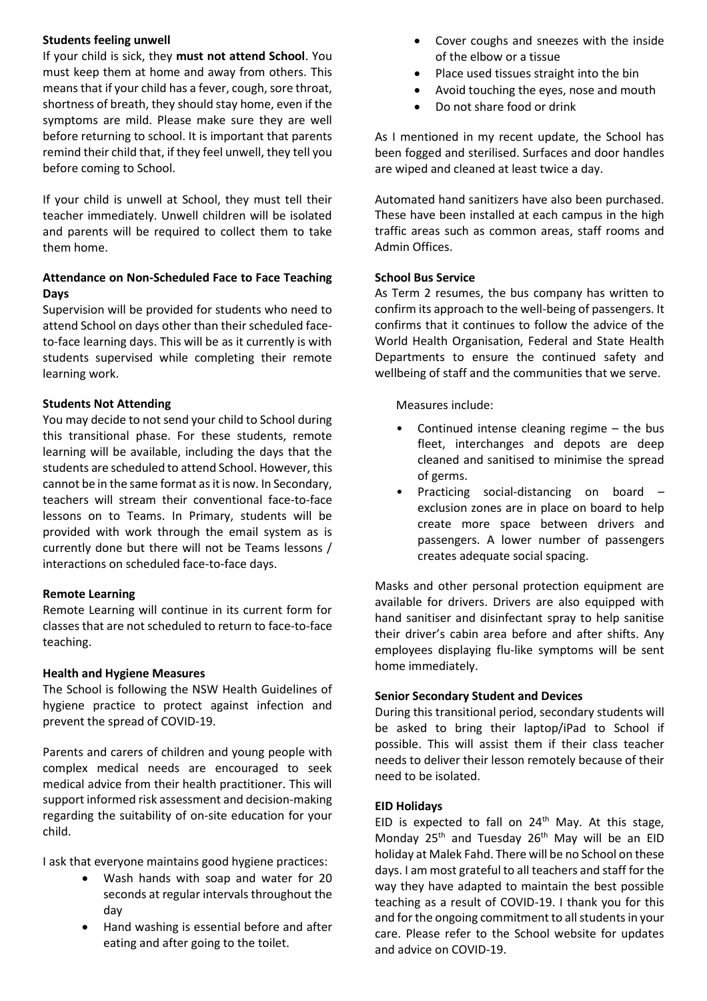#### **Students feeling unwell**

If your child is sick, they **must not attend School**. You must keep them at home and away from others. This meansthat if your child has a fever, cough, sore throat, shortness of breath, they should stay home, even if the symptoms are mild. Please make sure they are well before returning to school. It is important that parents remind their child that, if they feel unwell, they tell you before coming to School.

If your child is unwell at School, they must tell their teacher immediately. Unwell children will be isolated and parents will be required to collect them to take them home.

### **Attendance on Non-Scheduled Face to Face Teaching Days**

Supervision will be provided for students who need to attend School on days other than their scheduled faceto-face learning days. This will be as it currently is with students supervised while completing their remote learning work.

#### **Students Not Attending**

You may decide to not send your child to School during this transitional phase. For these students, remote learning will be available, including the days that the students are scheduled to attend School. However, this cannot be in the same format as it is now. In Secondary, teachers will stream their conventional face-to-face lessons on to Teams. In Primary, students will be provided with work through the email system as is currently done but there will not be Teams lessons / interactions on scheduled face-to-face days.

#### **Remote Learning**

Remote Learning will continue in its current form for classes that are not scheduled to return to face-to-face teaching.

#### **Health and Hygiene Measures**

The School is following the NSW Health Guidelines of hygiene practice to protect against infection and prevent the spread of COVID-19.

Parents and carers of children and young people with complex medical needs are encouraged to seek medical advice from their health practitioner. This will support informed risk assessment and decision-making regarding the suitability of on-site education for your child.

I ask that everyone maintains good hygiene practices:

- Wash hands with soap and water for 20 seconds at regular intervals throughout the day
- Hand washing is essential before and after eating and after going to the toilet.
- Cover coughs and sneezes with the inside of the elbow or a tissue
- Place used tissues straight into the bin
- Avoid touching the eyes, nose and mouth
- Do not share food or drink

As I mentioned in my recent update, the School has been fogged and sterilised. Surfaces and door handles are wiped and cleaned at least twice a day.

Automated hand sanitizers have also been purchased. These have been installed at each campus in the high traffic areas such as common areas, staff rooms and Admin Offices.

#### **School Bus Service**

As Term 2 resumes, the bus company has written to confirm its approach to the well-being of passengers. It confirms that it continues to follow the advice of the World Health Organisation, Federal and State Health Departments to ensure the continued safety and wellbeing of staff and the communities that we serve.

Measures include:

- Continued intense cleaning regime  $-$  the bus fleet, interchanges and depots are deep cleaned and sanitised to minimise the spread of germs.
- Practicing social-distancing on board exclusion zones are in place on board to help create more space between drivers and passengers. A lower number of passengers creates adequate social spacing.

Masks and other personal protection equipment are available for drivers. Drivers are also equipped with hand sanitiser and disinfectant spray to help sanitise their driver's cabin area before and after shifts. Any employees displaying flu-like symptoms will be sent home immediately.

#### **Senior Secondary Student and Devices**

During this transitional period, secondary students will be asked to bring their laptop/iPad to School if possible. This will assist them if their class teacher needs to deliver their lesson remotely because of their need to be isolated.

#### **EID Holidays**

EID is expected to fall on  $24<sup>th</sup>$  May. At this stage, Monday  $25<sup>th</sup>$  and Tuesday  $26<sup>th</sup>$  May will be an EID holiday at Malek Fahd. There will be no School on these days. I am most grateful to all teachers and staff for the way they have adapted to maintain the best possible teaching as a result of COVID-19. I thank you for this and for the ongoing commitment to all students in your care. Please refer to the School website for updates and advice on COVID-19.